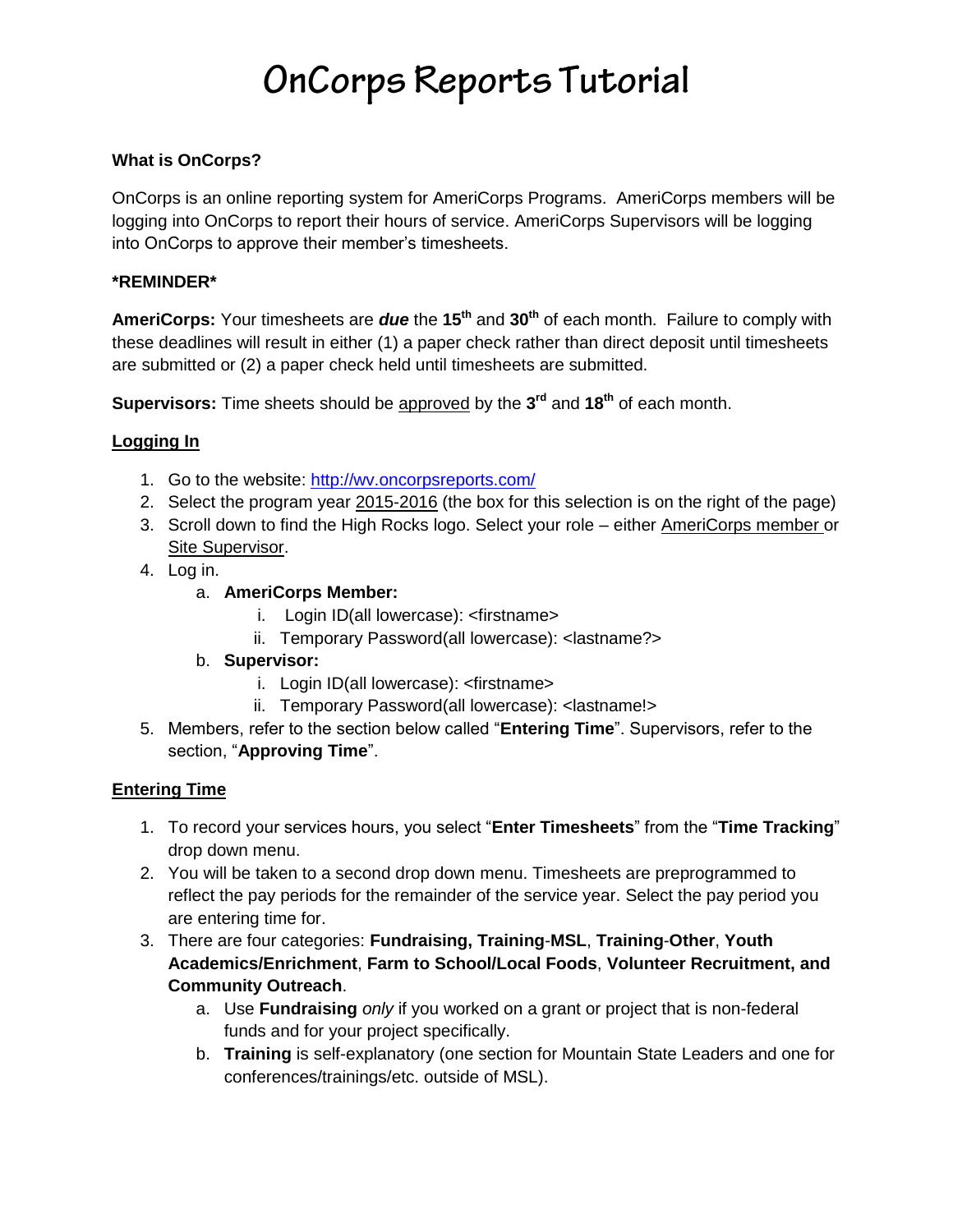# OnCorps Reports Tutorial

### **What is OnCorps?**

OnCorps is an online reporting system for AmeriCorps Programs. AmeriCorps members will be logging into OnCorps to report their hours of service. AmeriCorps Supervisors will be logging into OnCorps to approve their member's timesheets.

#### **\*REMINDER\***

**AmeriCorps:** Your timesheets are *due* the **15th** and **30th** of each month. Failure to comply with these deadlines will result in either (1) a paper check rather than direct deposit until timesheets are submitted or (2) a paper check held until timesheets are submitted.

**Supervisors:** Time sheets should be approved by the **3 rd** and **18th** of each month.

### **Logging In**

- 1. Go to the website:<http://wv.oncorpsreports.com/>
- 2. Select the program year 2015-2016 (the box for this selection is on the right of the page)
- 3. Scroll down to find the High Rocks logo. Select your role either AmeriCorps member or Site Supervisor.
- 4. Log in.
	- a. **AmeriCorps Member:**
		- i. Login ID(all lowercase): <firstname>
		- ii. Temporary Password(all lowercase): <lastname?>
	- b. **Supervisor:**
		- i. Login ID(all lowercase): <firstname>
		- ii. Temporary Password(all lowercase): <lastname!>
- 5. Members, refer to the section below called "**Entering Time**". Supervisors, refer to the section, "**Approving Time**".

#### **Entering Time**

- 1. To record your services hours, you select "**Enter Timesheets**" from the "**Time Tracking**" drop down menu.
- 2. You will be taken to a second drop down menu. Timesheets are preprogrammed to reflect the pay periods for the remainder of the service year. Select the pay period you are entering time for.
- 3. There are four categories: **Fundraising, Training**-**MSL**, **Training**-**Other**, **Youth Academics/Enrichment**, **Farm to School/Local Foods**, **Volunteer Recruitment, and Community Outreach**.
	- a. Use **Fundraising** *only* if you worked on a grant or project that is non-federal funds and for your project specifically.
	- b. **Training** is self-explanatory (one section for Mountain State Leaders and one for conferences/trainings/etc. outside of MSL).